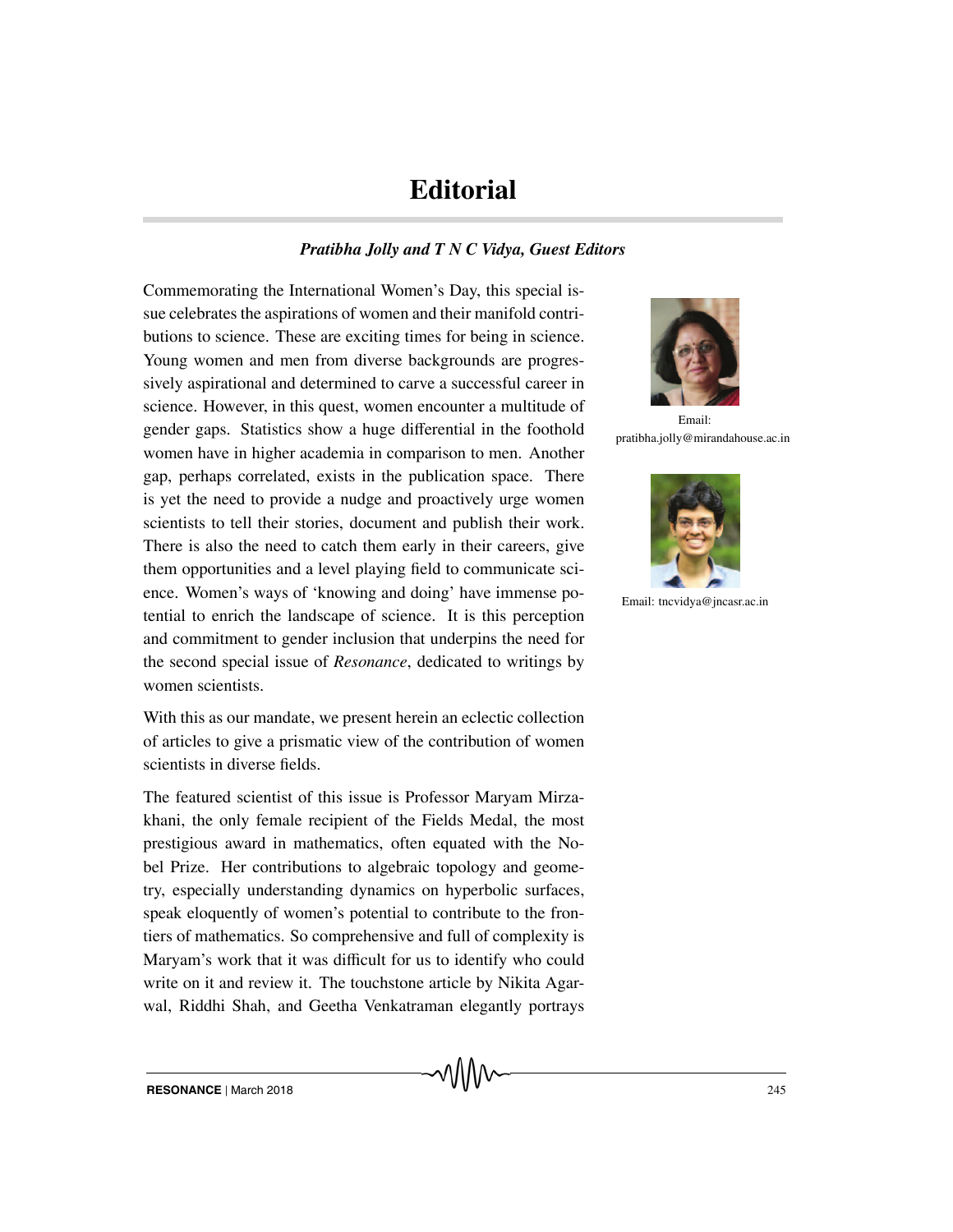## **Editorial**

## *Pratibha Jolly and T N C Vidya, Guest Editors*

Commemorating the International Women's Day, this special issue celebrates the aspirations of women and their manifold contributions to science. These are exciting times for being in science. Young women and men from diverse backgrounds are progressively aspirational and determined to carve a successful career in science. However, in this quest, women encounter a multitude of gender gaps. Statistics show a huge differential in the foothold women have in higher academia in comparison to men. Another gap, perhaps correlated, exists in the publication space. There is yet the need to provide a nudge and proactively urge women scientists to tell their stories, document and publish their work. There is also the need to catch them early in their careers, give them opportunities and a level playing field to communicate science. Women's ways of 'knowing and doing' have immense potential to enrich the landscape of science. It is this perception and commitment to gender inclusion that underpins the need for the second special issue of *Resonance*, dedicated to writings by women scientists.

With this as our mandate, we present herein an eclectic collection of articles to give a prismatic view of the contribution of women scientists in diverse fields.

The featured scientist of this issue is Professor Maryam Mirzakhani, the only female recipient of the Fields Medal, the most prestigious award in mathematics, often equated with the Nobel Prize. Her contributions to algebraic topology and geometry, especially understanding dynamics on hyperbolic surfaces, speak eloquently of women's potential to contribute to the frontiers of mathematics. So comprehensive and full of complexity is Maryam's work that it was difficult for us to identify who could write on it and review it. The touchstone article by Nikita Agarwal, Riddhi Shah, and Geetha Venkatraman elegantly portrays



Email: pratibha.jolly@mirandahouse.ac.in



Email: tncvidya@jncasr.ac.in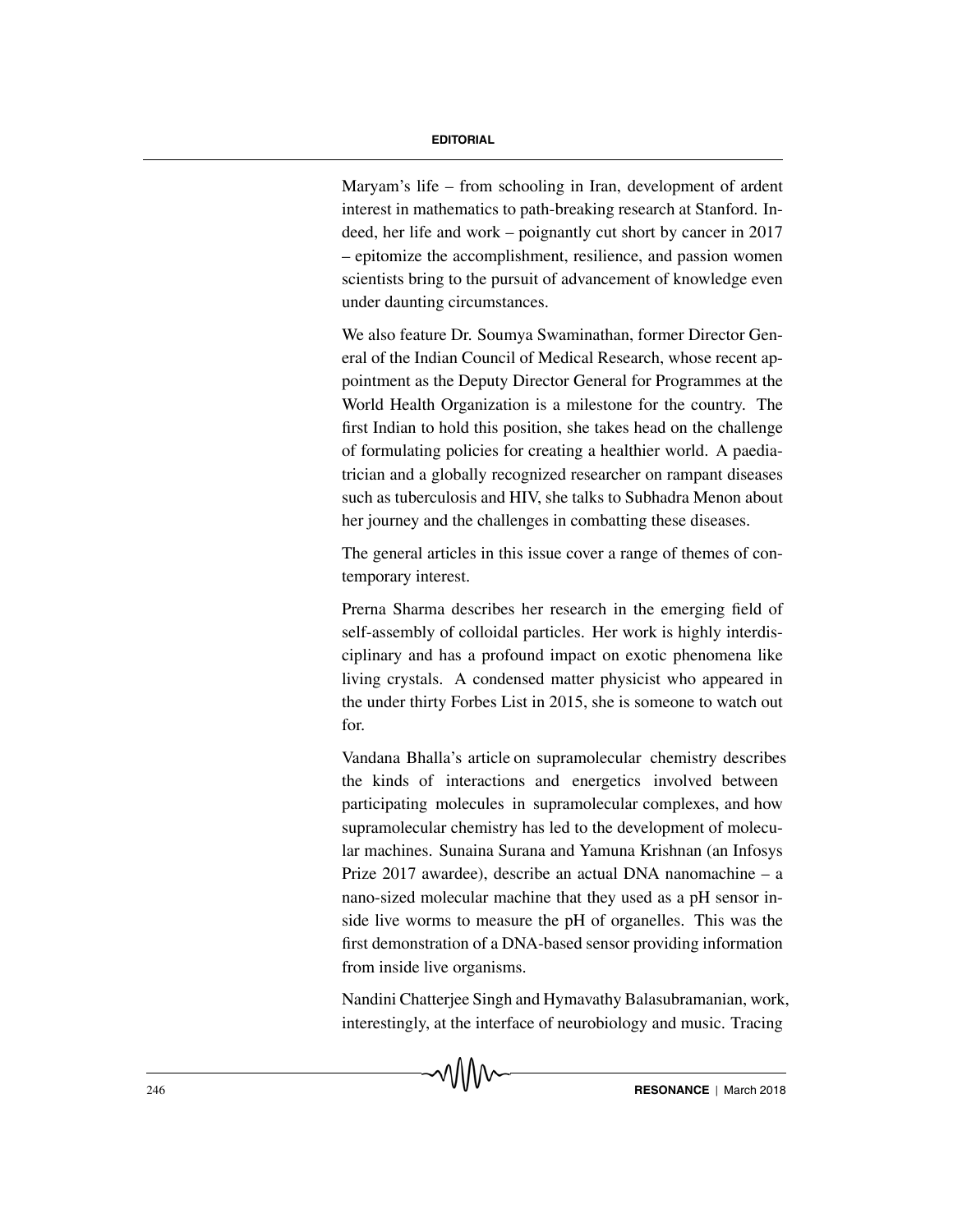Maryam's life – from schooling in Iran, development of ardent interest in mathematics to path-breaking research at Stanford. Indeed, her life and work – poignantly cut short by cancer in 2017 – epitomize the accomplishment, resilience, and passion women scientists bring to the pursuit of advancement of knowledge even under daunting circumstances.

We also feature Dr. Soumya Swaminathan, former Director General of the Indian Council of Medical Research, whose recent appointment as the Deputy Director General for Programmes at the World Health Organization is a milestone for the country. The first Indian to hold this position, she takes head on the challenge of formulating policies for creating a healthier world. A paediatrician and a globally recognized researcher on rampant diseases such as tuberculosis and HIV, she talks to Subhadra Menon about her journey and the challenges in combatting these diseases.

The general articles in this issue cover a range of themes of contemporary interest.

Prerna Sharma describes her research in the emerging field of self-assembly of colloidal particles. Her work is highly interdisciplinary and has a profound impact on exotic phenomena like living crystals. A condensed matter physicist who appeared in the under thirty Forbes List in 2015, she is someone to watch out for.

Vandana Bhalla's article on supramolecular chemistry describes the kinds of interactions and energetics involved between participating molecules in supramolecular complexes, and how supramolecular chemistry has led to the development of molecular machines. Sunaina Surana and Yamuna Krishnan (an Infosys Prize 2017 awardee), describe an actual DNA nanomachine – a nano-sized molecular machine that they used as a pH sensor inside live worms to measure the pH of organelles. This was the first demonstration of a DNA-based sensor providing information from inside live organisms.

Nandini Chatterjee Singh and Hymavathy Balasubramanian, work, interestingly, at the interface of neurobiology and music. Tracing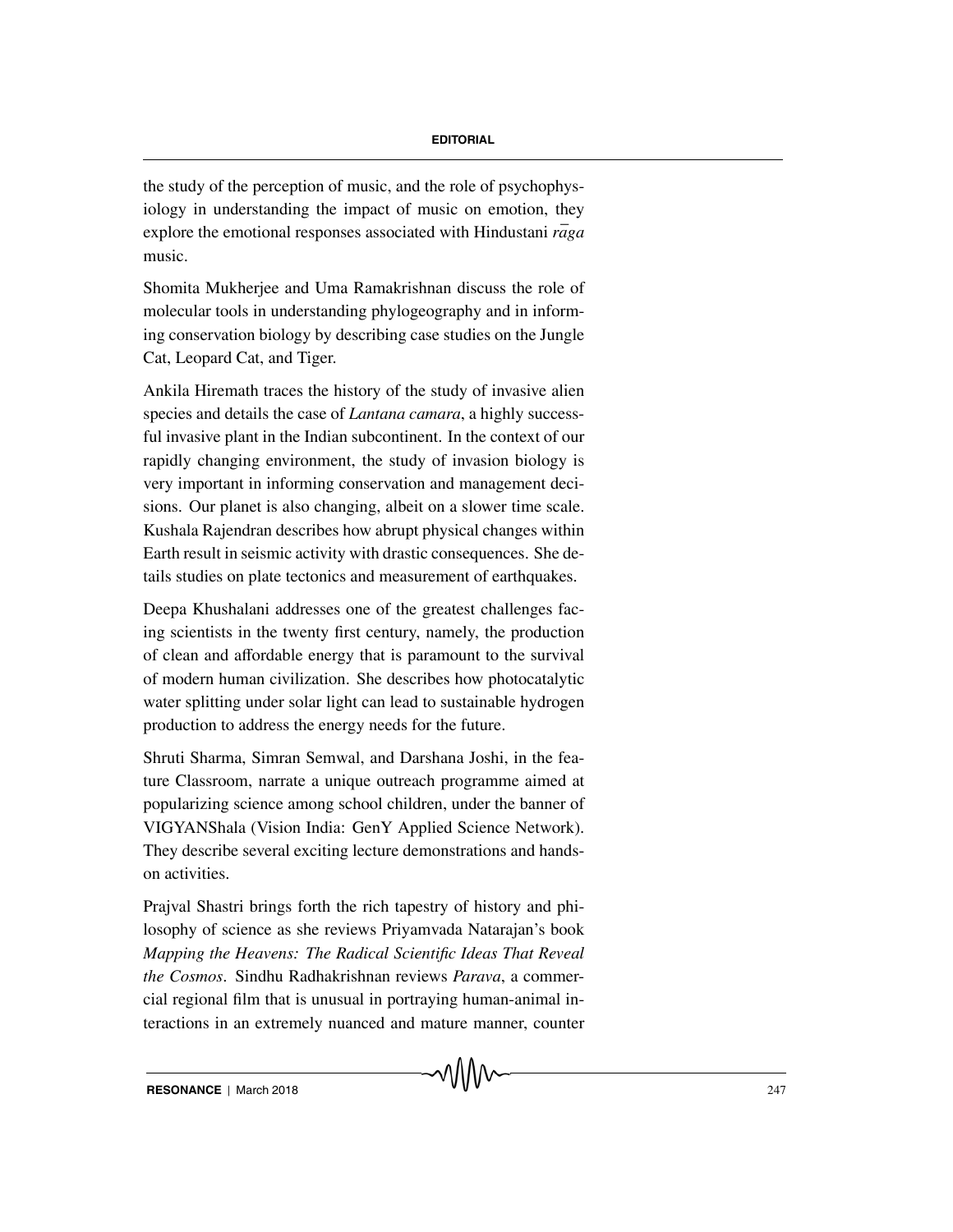the study of the perception of music, and the role of psychophysiology in understanding the impact of music on emotion, they explore the emotional responses associated with Hindustani  $r \bar{a} g a$ music.

Shomita Mukherjee and Uma Ramakrishnan discuss the role of molecular tools in understanding phylogeography and in informing conservation biology by describing case studies on the Jungle Cat, Leopard Cat, and Tiger.

Ankila Hiremath traces the history of the study of invasive alien species and details the case of *Lantana camara*, a highly successful invasive plant in the Indian subcontinent. In the context of our rapidly changing environment, the study of invasion biology is very important in informing conservation and management decisions. Our planet is also changing, albeit on a slower time scale. Kushala Rajendran describes how abrupt physical changes within Earth result in seismic activity with drastic consequences. She details studies on plate tectonics and measurement of earthquakes.

Deepa Khushalani addresses one of the greatest challenges facing scientists in the twenty first century, namely, the production of clean and affordable energy that is paramount to the survival of modern human civilization. She describes how photocatalytic water splitting under solar light can lead to sustainable hydrogen production to address the energy needs for the future.

Shruti Sharma, Simran Semwal, and Darshana Joshi, in the feature Classroom, narrate a unique outreach programme aimed at popularizing science among school children, under the banner of VIGYANShala (Vision India: GenY Applied Science Network). They describe several exciting lecture demonstrations and handson activities.

Prajval Shastri brings forth the rich tapestry of history and philosophy of science as she reviews Priyamvada Natarajan's book *Mapping the Heavens: The Radical Scientific Ideas That Reveal the Cosmos*. Sindhu Radhakrishnan reviews *Parava*, a commercial regional film that is unusual in portraying human-animal interactions in an extremely nuanced and mature manner, counter